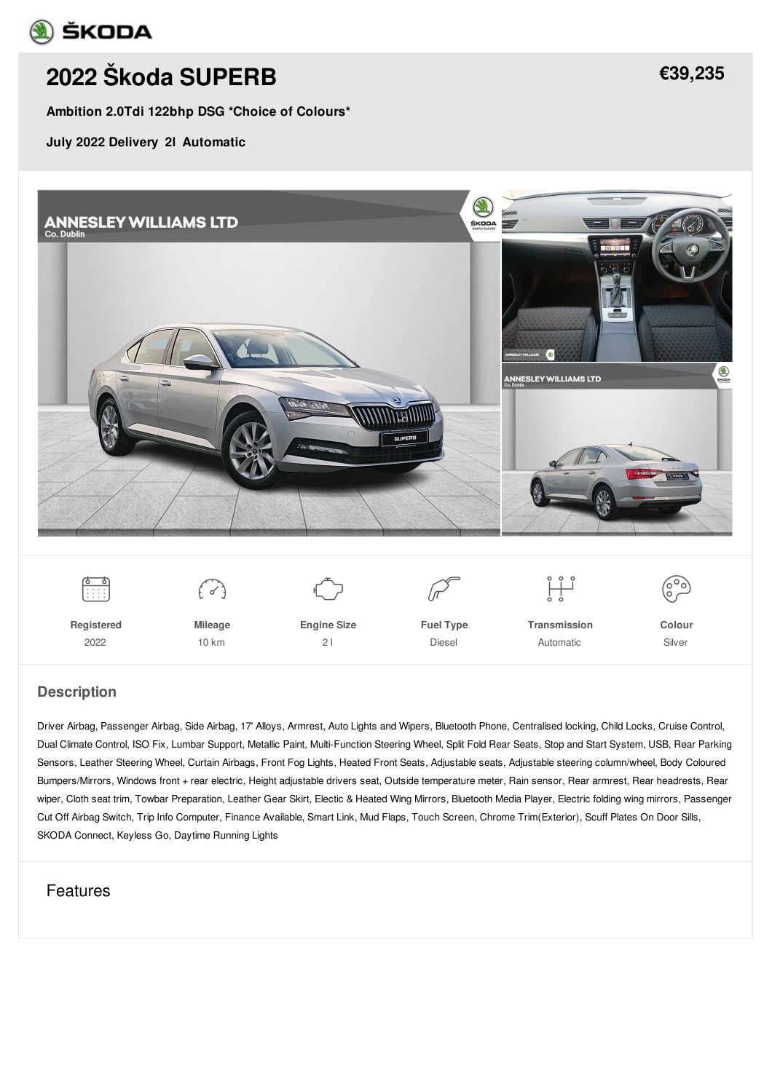

# **2022 Škoda [SUPERB](/used-cars/pdf/)**

**Ambition 2.0Tdi 122bhp DSG \*Choice of Colours\***

**July 2022 Delivery 2l Automatic**



#### **Description**

Driver Airbag, Passenger Airbag, Side Airbag, 17' Alloys, Armrest, Auto Lights and Wipers, Bluetooth Phone, Centralised locking, Child Locks, Cruise Control, Dual Climate Control, ISO Fix, Lumbar Support, Metallic Paint, Multi-Function Steering Wheel, Split Fold Rear Seats, Stop and Start System, USB, Rear Parking Sensors, Leather Steering Wheel, Curtain Airbags, Front Fog Lights, Heated Front Seats, Adjustable seats, Adjustable steering column/wheel, Body Coloured Bumpers/Mirrors, Windows front + rear electric, Height adjustable drivers seat, Outside temperature meter, Rain sensor, Rear armrest, Rear headrests, Rear wiper, Cloth seat trim, Towbar Preparation, Leather Gear Skirt, Electic & Heated Wing Mirrors, Bluetooth Media Player, Electric folding wing mirrors, Passenger Cut Off Airbag Switch, Trip Info Computer, Finance Available, Smart Link, Mud Flaps, Touch Screen, Chrome Trim(Exterior), Scuff Plates On Door Sills, SKODA Connect, Keyless Go, Daytime Running Lights

### Features